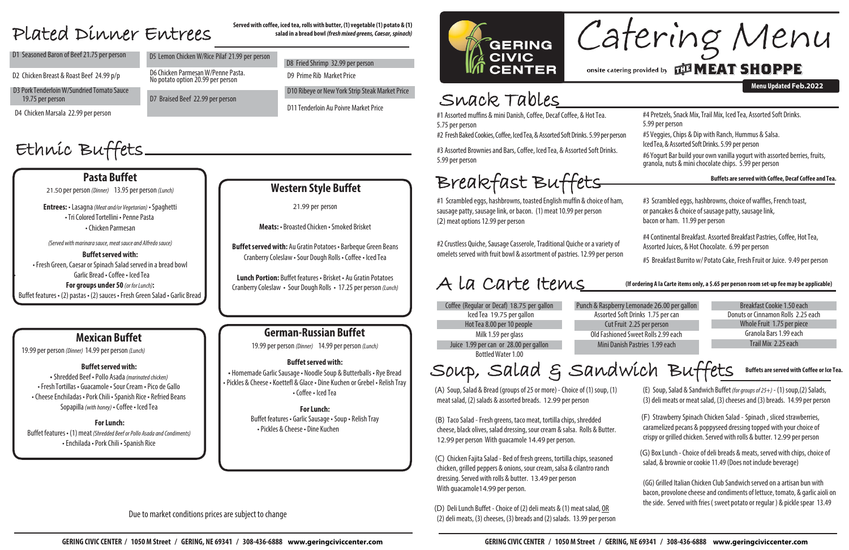## Snack Tables

**Menu Updated Feb.2022**

**salad in a bread bowl** *(freshmixed greens,Caesar, spinach)*

- D8 Fried Shrimp 32.99 per person
- D<sub>9</sub> Prime Rib Market Price
- D11 Tenderloin Au Poivre Market Price

D10 Ribeye or New York Strip Steak Market Price

#4 Pretzels, Snack Mix, Trail Mix, Iced Tea, Assorted Soft Drinks. 5.99 per person

#5 Veggies,Chips & Dip with Ranch, Hummus & Salsa. Iced Tea, & Assorted Soft Drinks. 5.99 per person #2 Fresh Baked Cookies, Coffee, Iced Tea, & Assorted Soft Drinks. 5.99 per person

## Served with coffee, iced tea, rolls with butter, (1) vegetable (1) potato & (1)<br>
PLATEN DLMMEY ENTYEES salad in a bread bowl (fresh mixed greens, Caesar, spinach)

No potato option 20.99 per person

D7 Braised Beef 22.99 per person

D1 Seasoned Baron of Beef 21.75 per person D5 Lemon Chicken W/Rice Pilaf 21.99 per person

D2 Chicken Breast & Roast Beef 24.99 p/p D6 Chicken Parmesan W/Penne Pasta.

#6 Yogurt Bar build your own vanilla yogurt with assorted berries, fruits, granola, nuts & mini chocolate chips. 5.99 per person

#1 Assorted muffins & mini Danish, Coffee, Decaf Coffee, & Hot Tea. 5.75 per person

D4 Chicken Marsala 22.99 per person

#3 Assorted Brownies and Bars, Coffee, Iced Tea, & Assorted Soft Drinks. 5.99 per person

# Ethnic Buffets

#1 Scrambled eggs, hashbrowns, toasted English muffin & choice of ham, sausage patty, sausage link, or bacon. (1) meat 10.99 per person (2) meat options 12.99 per person

#2 Crustless Quiche, Sausage Casserole, Traditional Quiche or a variety of omelets served with fruit bowl & assortment of pastries. 12.99 per person #3 Scrambled eggs, hashbrowns, choice of waffles, French toast, or pancakes & choice of sausage patty, sausage link, bacon or ham. 11.99 per person

#4 Continental Breakfast. Assorted Breakfast Pastries, Coffee, Hot Tea, Assorted Juices, & Hot Chocolate. 6.99 per person

#5 Breakfast Burrito w/ Potato Cake, Fresh Fruit or Juice. 9.49 per person

#### **Buffets are servedwith Coffee, Decaf Coffee and Tea.**

Donuts or Cinnamon Rolls 2.25 each Granola Bars 1.99 each TrailMix 2.25each Whole Fruit 1.75 per piece

# Breakfast Buffets

(A) Soup, Salad & Bread (groups of 25 or more) - Choice of  $(1)$  soup,  $(1)$ meat salad, (2) salads & assorted breads. 12.99 per person

(D) Deli Lunch Buffet - Choice of (2) deli meats & (1) meat salad, OR  $(2)$  deli meats,  $(3)$  cheeses,  $(3)$  breads and  $(2)$  salads. 13.99 per person

# Catering Menu onsite catering provided by **THE MEAT SHOPPE**

(E) Soup,Salad & Sandwich Buffet *(forgroupsof25+)* - (1) soup,(2) Salads,  $(3)$  deli meats or meat salad,  $(3)$  cheeses and  $(3)$  breads. 14.99 per person

## A la Carte Items

Juice 1.99 per can or 28.00 per gallon Hot Tea 8.00 per 10 people IcedTea 19.75 pergallon Milk 1.59 per glass Bottled Water 1.00 Coffee (Regular or Decaf) 18.75 per gallon Punch & Raspberry Lemonade 26.00 per gallon Breakfast Cookie 1.50 each

Assorted Soft Drinks 1.75 per can Old Fashioned Sweet Rolls 2.99 each Mini Danish Pastries 1.99 each Cut Fruit 2.25 per person

> (GG) Grilled Italian Chicken Club Sandwich served on aartisan bun with bacon, provolone cheese and condiments of lettuce, tomato, & garlic aioli on the side. Served with fries (sweet potato or regular ) & pickle spear 13.49

#### **(If ordering A la Carte items only, a \$.65 per person room set-up fee may be applicable)**

D3 Pork Tenderloin W/Sundried Tomato Sauce 19.75 per person

> **Buffet served with:** • Fresh Green, Caesar or Spinach Salad served in a bread bowl • Garlic Bread • Coffee • IcedTea

> > (B) Taco Salad - Fresh greens, taco meat, tortilla chips, shredded cheese, black olives, salad dressing, sour cream & salsa. Rolls & Butter. 12.99 per person With guacamole 14.49 per person.

**Buffet served with:** Au Gratin Potatoes • Barbeque Green Beans Cranberry Coleslaw •Sour Dough Rolls • Coffee• IcedTea

> (C) Chicken Fajita Salad - Bed of fresh greens, tortilla chips, seasoned chicken, grilled peppers & onions, sour cream, salsa & cilantro ranch dressing. Served with rolls & butter. 13.49 per person With guacamole14.99 per person.

• Shredded Beef • Pollo Asada (marinated chicken) •Fresh Tortillas • Guacamole• Sour Cream • Pico de Gallo • Cheese Enchiladas • Pork Chili • Spanish Rice • Refried Beans Sopapilla*(with honey)* • Coffee • IcedTea

Buffet features • (1) meat *(Shredded Beef or Pollo Asada and Condiments)* •Enchilada • PorkChili • Spanish Rice

# Soup, Salad & Sandwich Buffets **Buffets are served with Coffee or Ice Tea.**

(F) Strawberry Spinach Chicken Salad - Spinach , sliced strawberries, caramelized pecans & poppyseed dressing topped with your choice of crispy or grilled chicken. Served with rolls & butter. 12.99 per person

(G) Box Lunch - Choice of deli breads & meats, served with chips, choice of salad, & brownie or cookie 11.49 (Does not include beverage)

### **Pasta Buffet**

21.50 per person *(Dinner)* 13.95 per person *(Lunch)* 

**Entrees:** • Lasagna*(Meat and/or Vegetarian)* • Spaghetti • Tri Colored Tortellini • Penne Pasta •Chicken Parmesan

*(Servedwithmarinarasauce,meatsauceand Alfredosauce)*

**For groups under 50** *(or forLunch)***:** Buffet features • (2) pastas • (2) sauces • Fresh Green Salad • Garlic Bread

### **Western Style Buffet**

21.99 per person

**Meats:** • Broasted Chicken • Smoked Brisket

**Lunch Portion:** Buffet features • Brisket • Au Gratin Potatoes CranberryColeslaw • Sour Dough Rolls • 17.25 perperson *(Lunch)*

### **Mexican Buffet**

19.99 per person *(Dinner)* 14.99 per person *(Lunch)* 

#### **Buffet served with:**

#### **ForLunch:**

### **German-Russian Buffet**

19.99 per person *(Dinner)* 14.99 perperson *(Lunch)*

#### **Buffet served with:**

**•** Homemade GarlicSausage• NoodleSoup & Butterballs • Rye Bread •Pickles & Cheese • Koettefl & Glace • Dine Kuchen or Grebel • Relish Tray •Coffee • IcedTea

> **ForLunch:** Buffet features • Garlic Sausage • Soup • Relish Tray •Pickles & Cheese • Dine Kuchen

#### Due to market conditions prices are subject to change